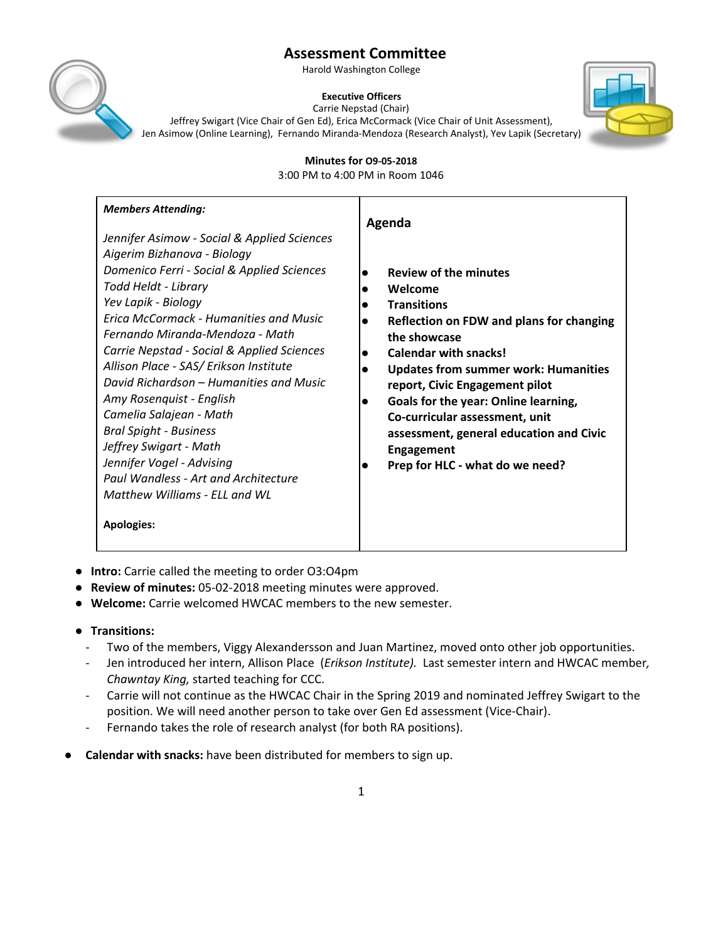Harold Washington College



**Executive Officers**



Carrie Nepstad (Chair) Jeffrey Swigart (Vice Chair of Gen Ed), Erica McCormack (Vice Chair of Unit Assessment), Jen Asimow (Online Learning), Fernando Miranda-Mendoza (Research Analyst), Yev Lapik (Secretary)

**Minutes for O9-05-2018**

3:00 PM to 4:00 PM in Room 1046

- **Intro:** Carrie called the meeting to order O3:O4pm
- **Review of minutes:** 05-02-2018 meeting minutes were approved.
- **Welcome:** Carrie welcomed HWCAC members to the new semester.

## ● **Transitions:**

- Two of the members, Viggy Alexandersson and Juan Martinez, moved onto other job opportunities.
- Jen introduced her intern, Allison Place (*Erikson Institute).* Last semester intern and HWCAC member*, Chawntay King,* started teaching for CCC.
- Carrie will not continue as the HWCAC Chair in the Spring 2019 and nominated Jeffrey Swigart to the position. We will need another person to take over Gen Ed assessment (Vice-Chair).
- Fernando takes the role of research analyst (for both RA positions).
- **● Calendar with snacks:** have been distributed for members to sign up.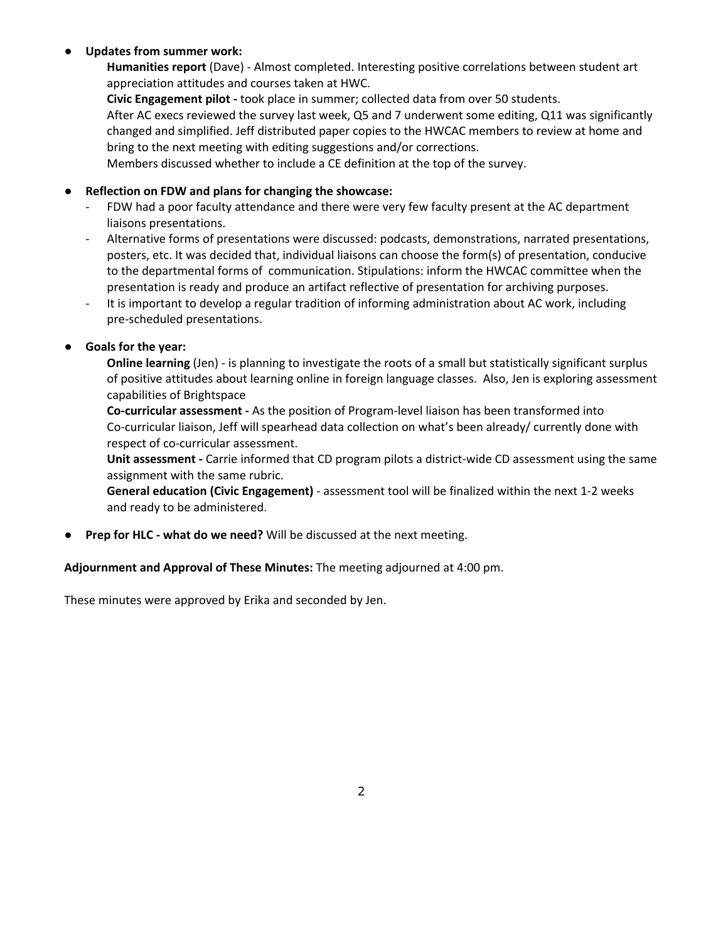### **● Updates from summer work:**

**Humanities report** (Dave) - Almost completed. Interesting positive correlations between student art appreciation attitudes and courses taken at HWC.

**Civic Engagement pilot -** took place in summer; collected data from over 50 students. After AC execs reviewed the survey last week, Q5 and 7 underwent some editing, Q11 was significantly changed and simplified. Jeff distributed paper copies to the HWCAC members to review at home and bring to the next meeting with editing suggestions and/or corrections.

Members discussed whether to include a CE definition at the top of the survey.

## ● **Reflection on FDW and plans for changing the showcase:**

- FDW had a poor faculty attendance and there were very few faculty present at the AC department liaisons presentations.
- Alternative forms of presentations were discussed: podcasts, demonstrations, narrated presentations, posters, etc. It was decided that, individual liaisons can choose the form(s) of presentation, conducive to the departmental forms of communication. Stipulations: inform the HWCAC committee when the presentation is ready and produce an artifact reflective of presentation for archiving purposes.
- It is important to develop a regular tradition of informing administration about AC work, including pre-scheduled presentations.

## **● Goals for the year:**

**Online learning** (Jen) - is planning to investigate the roots of a small but statistically significant surplus of positive attitudes about learning online in foreign language classes. Also, Jen is exploring assessment capabilities of Brightspace

**Co-curricular assessment -** As the position of Program-level liaison has been transformed into Co-curricular liaison, Jeff will spearhead data collection on what's been already/ currently done with respect of co-curricular assessment.

**Unit assessment -** Carrie informed that CD program pilots a district-wide CD assessment using the same assignment with the same rubric.

**General education (Civic Engagement)** - assessment tool will be finalized within the next 1-2 weeks and ready to be administered.

**● Prep for HLC - what do we need?** Will be discussed at the next meeting.

### **Adjournment and Approval of These Minutes:** The meeting adjourned at 4:00 pm.

These minutes were approved by Erika and seconded by Jen.